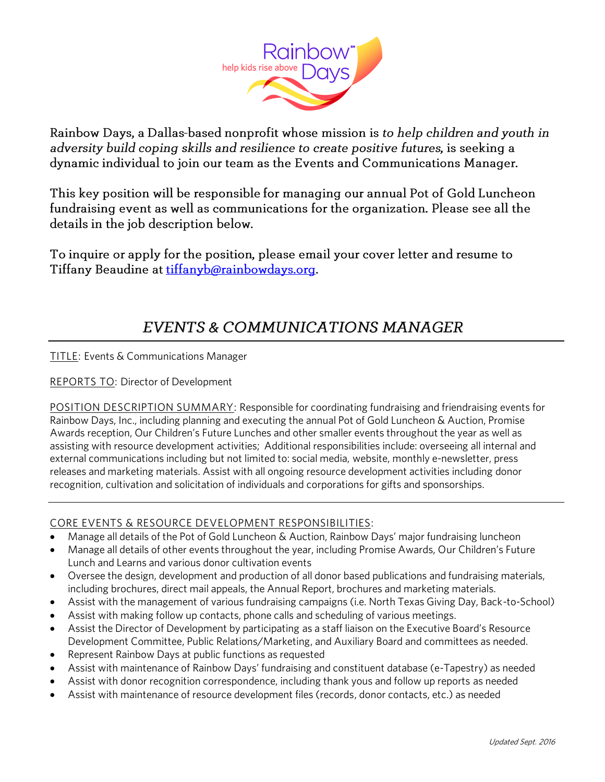

Rainbow Days, a Dallas-based nonprofit whose mission is to help children and youth in adversity build coping skills and resilience to create positive futures, is seeking a dynamic individual to join our team as the Events and Communications Manager.

This key position will be responsible for managing our annual Pot of Gold Luncheon fundraising event as well as communications for the organization. Please see all the details in the job description below.

To inquire or apply for the position, please email your cover letter and resume to Tiffany Beaudine at tiffanyb@rainbowdays.org.

### EVENTS & COMMUNICATIONS MANAGER

 $\overline{\phantom{a}}$  and  $\overline{\phantom{a}}$  and  $\overline{\phantom{a}}$  and  $\overline{\phantom{a}}$  and  $\overline{\phantom{a}}$  and  $\overline{\phantom{a}}$  and  $\overline{\phantom{a}}$  and  $\overline{\phantom{a}}$  and  $\overline{\phantom{a}}$  and  $\overline{\phantom{a}}$  and  $\overline{\phantom{a}}$  and  $\overline{\phantom{a}}$  and  $\overline{\phantom{a}}$  and  $\overline{\phantom{a}}$  a

<u>Report Store To: Director of Development of Development of Development of Development of Development of Development of Development of Development of Development of Development of Development of Development of Development </u>

POSITION DESCRIPTION SUMMARY: Responsible for coordinating fundraising and friendraising events for<br>Rainbow Days, Inc., including planning and executing the annual Pot of Gold Luncheon & Auction, Promise Awards reception, Our Children's Future Lunches and other smaller events throughout the year as well as assisting with resource development activities; Additional responsibilities include: overseeing all internal and external communications including but not limited to: social media, website, monthly e-newsletter, press releases and marketing materials. Assist with all ongoing resource development activities including donor recognition, cultivation and solicitation of individuals and corporations for gifts and sponsorships. recognition, cultivation and solicitation of individuals and corporations for gifts and sponsorships.

- Manage all details of the Pot of Gold Luncheon & Auction, Rainbow Days' major fundraising luncheon<br>• Manage all details of other events throughout the vear, including Promise Awards. Our Children's Eut
- Manage all details of other events throughout the year, including Promise Awards, Our Children's Future
- Oversee the design, development and production of all donor based publications and fundraising materials,<br>including brochures, direct mail anneals, the Annual Report, brochures and marketing materials
- e Assist with the management of various fundraising campaigns (i.e. North Texas Giving Day, Back-to-School)<br>Assist with making follow up contacts, phone calls and scheduling of various meetings
- Assist with making follow up contacts, phone calls and scheduling of various meetings.<br>• Assist the Director of Development by participating as a staff liaison on the Executive B
- Assist the Director of Development by participating as a staff liaison on the Executive Board's Resource<br>Development Committee, Public Relations/Marketing, and Auxiliary Board and committees as needed.
- 
- **Example Committee, Public Relations, Marketing, and Auxiliary Board and Committees as needed.**<br>• Assist with maintenance of Rainbow Days' fundraising and constituent database (e-Tanestry) as needed Assist with maintenance of Rainbow Days' fundraising and constituent database (e-Tapestry) as needed
- Assist with donor recognition correspondence, including thank yous and follow up reports as needed
- Assist with maintenance of resource development files (records, donor contacts, etc.) as needed